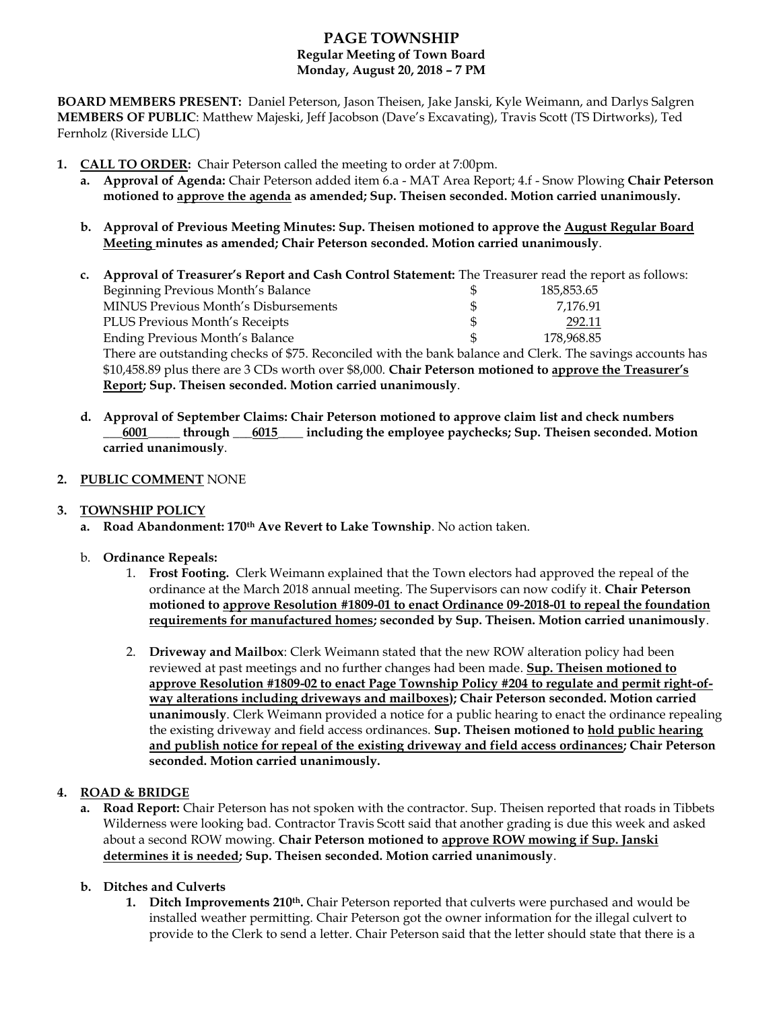# **PAGE TOWNSHIP Regular Meeting of Town Board Monday, August 20, 2018 – 7 PM**

**BOARD MEMBERS PRESENT:** Daniel Peterson, Jason Theisen, Jake Janski, Kyle Weimann, and Darlys Salgren **MEMBERS OF PUBLIC**: Matthew Majeski, Jeff Jacobson (Dave's Excavating), Travis Scott (TS Dirtworks), Ted Fernholz (Riverside LLC)

- **1. CALL TO ORDER:** Chair Peterson called the meeting to order at 7:00pm.
	- **a. Approval of Agenda:** Chair Peterson added item 6.a MAT Area Report; 4.f Snow Plowing **Chair Peterson motioned to approve the agenda as amended; Sup. Theisen seconded. Motion carried unanimously.**
	- **b. Approval of Previous Meeting Minutes: Sup. Theisen motioned to approve the August Regular Board Meeting minutes as amended; Chair Peterson seconded. Motion carried unanimously**.

| c. | Approval of Treasurer's Report and Cash Control Statement: The Treasurer read the report as follows:       |     |            |  |
|----|------------------------------------------------------------------------------------------------------------|-----|------------|--|
|    | Beginning Previous Month's Balance                                                                         | Ж   | 185,853.65 |  |
|    | MINUS Previous Month's Disbursements                                                                       | \$. | 7,176.91   |  |
|    | PLUS Previous Month's Receipts                                                                             |     | 292.11     |  |
|    | Ending Previous Month's Balance                                                                            | £.  | 178,968.85 |  |
|    | There are outstanding checks of \$75. Reconciled with the bank balance and Clerk. The savings accounts has |     |            |  |
|    | \$10,458.89 plus there are 3 CDs worth over \$8,000. Chair Peterson motioned to approve the Treasurer's    |     |            |  |

**Report; Sup. Theisen seconded. Motion carried unanimously**.

**d. Approval of September Claims: Chair Peterson motioned to approve claim list and check numbers \_\_\_6001\_\_\_\_\_ through \_\_\_6015\_\_\_\_ including the employee paychecks; Sup. Theisen seconded. Motion carried unanimously**.

### **2. PUBLIC COMMENT** NONE

### **3. TOWNSHIP POLICY**

- **a. Road Abandonment: 170th Ave Revert to Lake Township**. No action taken.
- b. **Ordinance Repeals:**
	- 1. **Frost Footing.** Clerk Weimann explained that the Town electors had approved the repeal of the ordinance at the March 2018 annual meeting. The Supervisors can now codify it. **Chair Peterson motioned to approve Resolution #1809-01 to enact Ordinance 09-2018-01 to repeal the foundation requirements for manufactured homes; seconded by Sup. Theisen. Motion carried unanimously**.
	- 2. **Driveway and Mailbox**: Clerk Weimann stated that the new ROW alteration policy had been reviewed at past meetings and no further changes had been made. **Sup. Theisen motioned to approve Resolution #1809-02 to enact Page Township Policy #204 to regulate and permit right-ofway alterations including driveways and mailboxes); Chair Peterson seconded. Motion carried unanimously**. Clerk Weimann provided a notice for a public hearing to enact the ordinance repealing the existing driveway and field access ordinances. **Sup. Theisen motioned to hold public hearing and publish notice for repeal of the existing driveway and field access ordinances; Chair Peterson seconded. Motion carried unanimously.**

## **4. ROAD & BRIDGE**

**a. Road Report:** Chair Peterson has not spoken with the contractor. Sup. Theisen reported that roads in Tibbets Wilderness were looking bad. Contractor Travis Scott said that another grading is due this week and asked about a second ROW mowing. **Chair Peterson motioned to approve ROW mowing if Sup. Janski determines it is needed; Sup. Theisen seconded. Motion carried unanimously**.

#### **b. Ditches and Culverts**

**1. Ditch Improvements 210th.** Chair Peterson reported that culverts were purchased and would be installed weather permitting. Chair Peterson got the owner information for the illegal culvert to provide to the Clerk to send a letter. Chair Peterson said that the letter should state that there is a